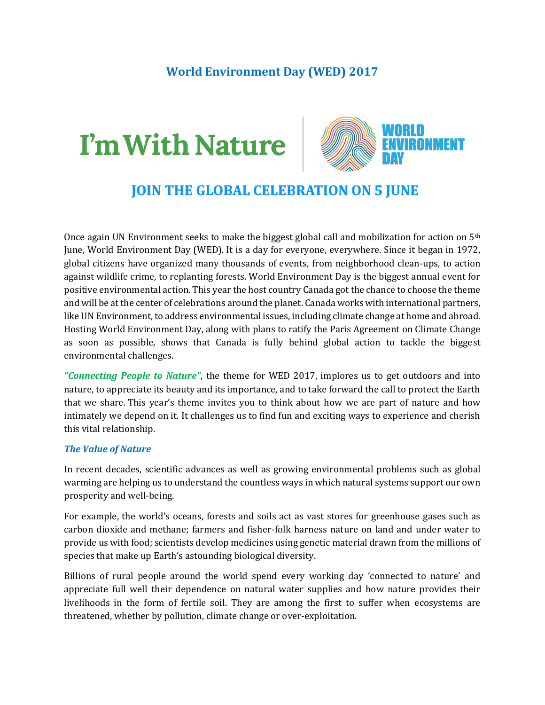## **World Environment Day (WED) 2017**

## I'm With Nature



## **JOIN THE GLOBAL CELEBRATION ON 5 JUNE**

Once again UN Environment seeks to make the biggest global call and mobilization for action on 5th June, World Environment Day (WED). It is a day for everyone, everywhere. Since it began in 1972, global citizens have organized many thousands of events, from neighborhood clean-ups, to action against wildlife crime, to replanting forests. World Environment Day is the biggest annual event for positive environmental action. This year the host country Canada got the chance to choose the theme and will be at the center of celebrations around the planet. Canada works with international partners, like UN Environment, to address environmental issues, including climate change at home and abroad. Hosting World Environment Day, along with plans to ratify the Paris Agreement on Climate Change as soon as possible, shows that Canada is fully behind global action to tackle the biggest environmental challenges.

*"Connecting People to Nature"*, the theme for WED 2017, implores us to get outdoors and into nature, to appreciate its beauty and its importance, and to take forward the call to protect the Earth that we share. This year's theme invites you to think about how we are part of nature and how intimately we depend on it. It challenges us to find fun and exciting ways to experience and cherish this vital relationship.

## *The Value of Nature*

In recent decades, scientific advances as well as growing environmental problems such as global warming are helping us to understand the countless ways in which natural systems support our own prosperity and well-being.

For example, the world's oceans, forests and soils act as vast stores for greenhouse gases such as carbon dioxide and methane; farmers and fisher-folk harness nature on land and under water to provide us with food; scientists develop medicines using genetic material drawn from the millions of species that make up Earth's astounding biological diversity.

Billions of rural people around the world spend every working day 'connected to nature' and appreciate full well their dependence on natural water supplies and how nature provides their livelihoods in the form of fertile soil. They are among the first to suffer when ecosystems are threatened, whether by pollution, climate change or over-exploitation.